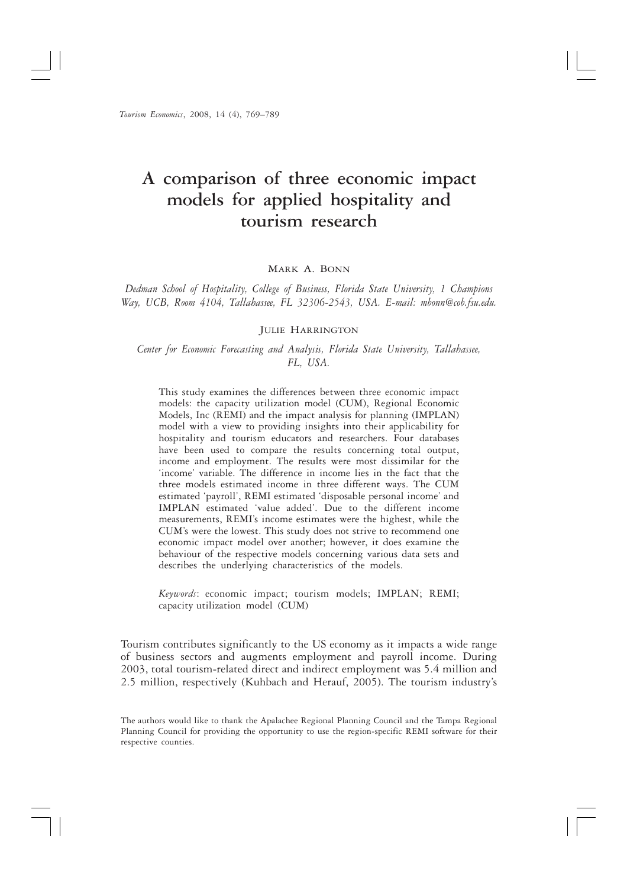# A comparison of three economic impact models for applied hospitality and tourism research

#### MARK A. BONN

Dedman School of Hospitality, College of Business, Florida State University, 1 Champions Way, UCB, Room 4104, Tallahassee, FL 32306-2543, USA. E-mail: mbonn@cob.fsu.edu.

#### **JULIE HARRINGTON**

Center for Economic Forecasting and Analysis, Florida State University, Tallahassee, FL. USA.

This study examines the differences between three economic impact models: the capacity utilization model (CUM), Regional Economic Models, Inc (REMI) and the impact analysis for planning (IMPLAN) model with a view to providing insights into their applicability for hospitality and tourism educators and researchers. Four databases have been used to compare the results concerning total output, income and employment. The results were most dissimilar for the 'income' variable. The difference in income lies in the fact that the three models estimated income in three different ways. The CUM estimated 'payroll', REMI estimated 'disposable personal income' and IMPLAN estimated 'value added'. Due to the different income measurements, REMI's income estimates were the highest, while the CUM's were the lowest. This study does not strive to recommend one economic impact model over another; however, it does examine the behaviour of the respective models concerning various data sets and describes the underlying characteristics of the models.

Keywords: economic impact; tourism models; IMPLAN; REMI; capacity utilization model (CUM)

Tourism contributes significantly to the US economy as it impacts a wide range of business sectors and augments employment and payroll income. During 2003, total tourism-related direct and indirect employment was 5.4 million and 2.5 million, respectively (Kuhbach and Herauf, 2005). The tourism industry's

The authors would like to thank the Apalachee Regional Planning Council and the Tampa Regional Planning Council for providing the opportunity to use the region-specific REMI software for their respective counties.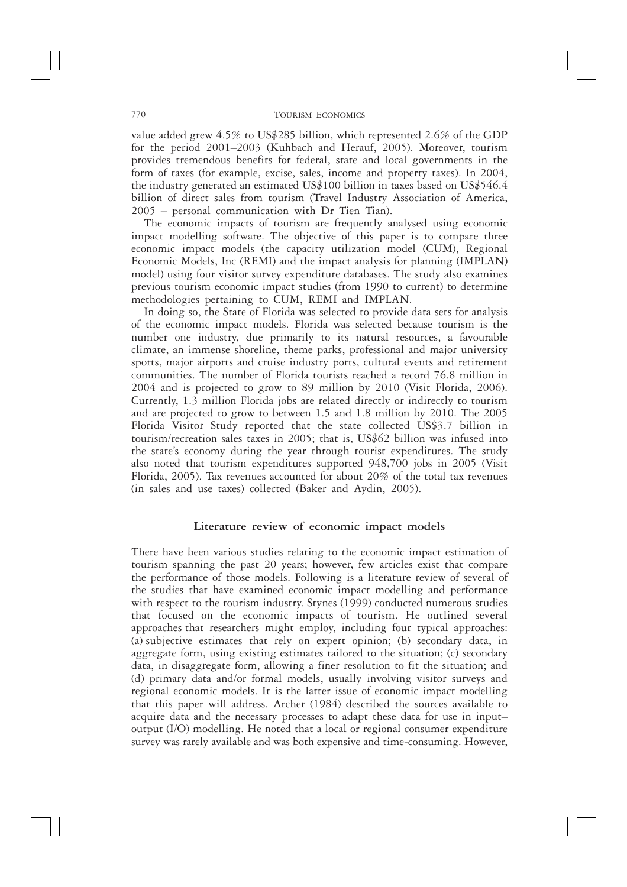value added grew 4.5% to US\$285 billion, which represented 2.6% of the GDP for the period 2001-2003 (Kuhbach and Herauf, 2005). Moreover, tourism provides tremendous benefits for federal, state and local governments in the form of taxes (for example, excise, sales, income and property taxes). In 2004, the industry generated an estimated US\$100 billion in taxes based on US\$546.4 billion of direct sales from tourism (Travel Industry Association of America,  $2005$  – personal communication with Dr Tien Tian).

The economic impacts of tourism are frequently analysed using economic impact modelling software. The objective of this paper is to compare three economic impact models (the capacity utilization model (CUM), Regional Economic Models, Inc (REMI) and the impact analysis for planning (IMPLAN) model) using four visitor survey expenditure databases. The study also examines previous tourism economic impact studies (from 1990 to current) to determine methodologies pertaining to CUM, REMI and IMPLAN.

In doing so, the State of Florida was selected to provide data sets for analysis of the economic impact models. Florida was selected because tourism is the number one industry, due primarily to its natural resources, a favourable climate, an immense shoreline, theme parks, professional and major university sports, major airports and cruise industry ports, cultural events and retirement communities. The number of Florida tourists reached a record 76.8 million in 2004 and is projected to grow to 89 million by 2010 (Visit Florida, 2006). Currently, 1.3 million Florida jobs are related directly or indirectly to tourism and are projected to grow to between 1.5 and 1.8 million by 2010. The 2005 Florida Visitor Study reported that the state collected US\$3.7 billion in tourism/recreation sales taxes in 2005; that is, US\$62 billion was infused into the state's economy during the year through tourist expenditures. The study also noted that tourism expenditures supported 948,700 jobs in 2005 (Visit Florida, 2005). Tax revenues accounted for about 20% of the total tax revenues (in sales and use taxes) collected (Baker and Aydin, 2005).

### Literature review of economic impact models

There have been various studies relating to the economic impact estimation of tourism spanning the past 20 years; however, few articles exist that compare the performance of those models. Following is a literature review of several of the studies that have examined economic impact modelling and performance with respect to the tourism industry. Stynes (1999) conducted numerous studies that focused on the economic impacts of tourism. He outlined several approaches that researchers might employ, including four typical approaches: (a) subjective estimates that rely on expert opinion; (b) secondary data, in aggregate form, using existing estimates tailored to the situation; (c) secondary data, in disaggregate form, allowing a finer resolution to fit the situation; and (d) primary data and/or formal models, usually involving visitor surveys and regional economic models. It is the latter issue of economic impact modelling that this paper will address. Archer (1984) described the sources available to acquire data and the necessary processes to adapt these data for use in inputoutput (I/O) modelling. He noted that a local or regional consumer expenditure survey was rarely available and was both expensive and time-consuming. However,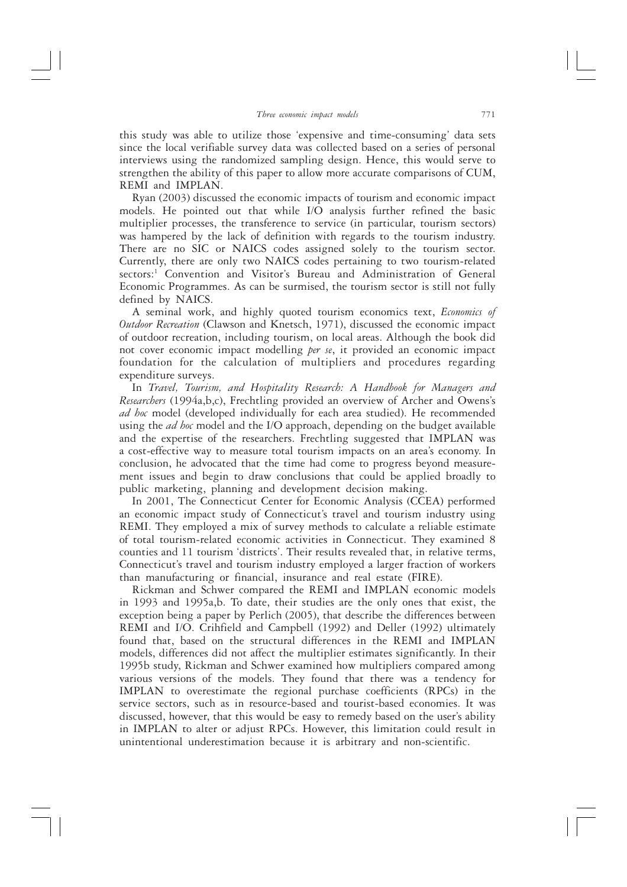this study was able to utilize those 'expensive and time-consuming' data sets since the local verifiable survey data was collected based on a series of personal interviews using the randomized sampling design. Hence, this would serve to strengthen the ability of this paper to allow more accurate comparisons of CUM, REMI and IMPLAN.

Ryan (2003) discussed the economic impacts of tourism and economic impact models. He pointed out that while I/O analysis further refined the basic multiplier processes, the transference to service (in particular, tourism sectors) was hampered by the lack of definition with regards to the tourism industry. There are no SIC or NAICS codes assigned solely to the tourism sector. Currently, there are only two NAICS codes pertaining to two tourism-related sectors:<sup>1</sup> Convention and Visitor's Bureau and Administration of General Economic Programmes. As can be surmised, the tourism sector is still not fully defined by NAICS.

A seminal work, and highly quoted tourism economics text, Economics of Outdoor Recreation (Clawson and Knetsch, 1971), discussed the economic impact of outdoor recreation, including tourism, on local areas. Although the book did not cover economic impact modelling per se, it provided an economic impact foundation for the calculation of multipliers and procedures regarding expenditure surveys.

.<br>In Travel, Tourism, and Hospitality Research: A Handbook for Managers and Researchers (1994a,b,c), Frechtling provided an overview of Archer and Owens's ad hoc model (developed individually for each area studied). He recommended using the *ad hoc* model and the I/O approach, depending on the budget available and the expertise of the researchers. Frechtling suggested that IMPLAN was a cost-effective way to measure total tourism impacts on an area's economy. In conclusion, he advocated that the time had come to progress beyond measurement issues and begin to draw conclusions that could be applied broadly to public marketing, planning and development decision making.

In 2001, The Connecticut Center for Economic Analysis (CCEA) performed an economic impact study of Connecticut's travel and tourism industry using REMI. They employed a mix of survey methods to calculate a reliable estimate of total tourism-related economic activities in Connecticut. They examined 8 counties and 11 tourism 'districts'. Their results revealed that, in relative terms, Connecticut's travel and tourism industry employed a larger fraction of workers than manufacturing or financial, insurance and real estate (FIRE).

Rickman and Schwer compared the REMI and IMPLAN economic models in 1993 and 1995a,b. To date, their studies are the only ones that exist, the exception being a paper by Perlich (2005), that describe the differences between REMI and I/O. Crihfield and Campbell (1992) and Deller (1992) ultimately found that, based on the structural differences in the REMI and IMPLAN models, differences did not affect the multiplier estimates significantly. In their 1995b study, Rickman and Schwer examined how multipliers compared among various versions of the models. They found that there was a tendency for IMPLAN to overestimate the regional purchase coefficients (RPCs) in the service sectors, such as in resource-based and tourist-based economies. It was discussed, however, that this would be easy to remedy based on the user's ability in IMPLAN to alter or adjust RPCs. However, this limitation could result in unintentional underestimation because it is arbitrary and non-scientific.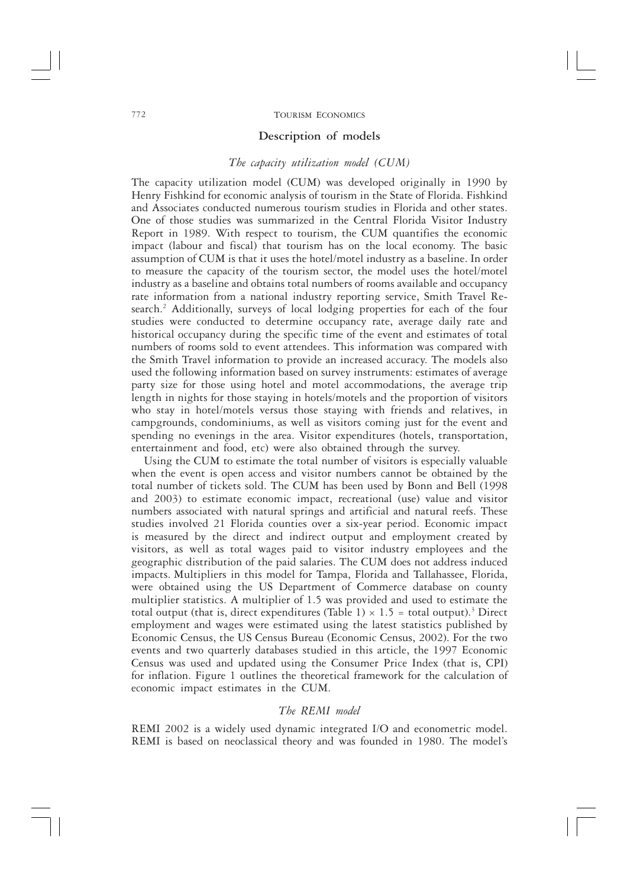#### **TOURISM ECONOMICS**

#### Description of models

#### The capacity utilization model (CUM)

The capacity utilization model (CUM) was developed originally in 1990 by Henry Fishkind for economic analysis of tourism in the State of Florida. Fishkind and Associates conducted numerous tourism studies in Florida and other states. One of those studies was summarized in the Central Florida Visitor Industry Report in 1989. With respect to tourism, the CUM quantifies the economic impact (labour and fiscal) that tourism has on the local economy. The basic assumption of CUM is that it uses the hotel/motel industry as a baseline. In order to measure the capacity of the tourism sector, the model uses the hotel/motel industry as a baseline and obtains total numbers of rooms available and occupancy rate information from a national industry reporting service, Smith Travel Research.<sup>2</sup> Additionally, surveys of local lodging properties for each of the four studies were conducted to determine occupancy rate, average daily rate and historical occupancy during the specific time of the event and estimates of total numbers of rooms sold to event attendees. This information was compared with the Smith Travel information to provide an increased accuracy. The models also used the following information based on survey instruments: estimates of average party size for those using hotel and motel accommodations, the average trip length in nights for those staying in hotels/motels and the proportion of visitors who stay in hotel/motels versus those staying with friends and relatives, in campgrounds, condominiums, as well as visitors coming just for the event and spending no evenings in the area. Visitor expenditures (hotels, transportation, entertainment and food, etc) were also obtained through the survey.

Using the CUM to estimate the total number of visitors is especially valuable when the event is open access and visitor numbers cannot be obtained by the total number of tickets sold. The CUM has been used by Bonn and Bell (1998 and 2003) to estimate economic impact, recreational (use) value and visitor numbers associated with natural springs and artificial and natural reefs. These studies involved 21 Florida counties over a six-year period. Economic impact is measured by the direct and indirect output and employment created by visitors, as well as total wages paid to visitor industry employees and the geographic distribution of the paid salaries. The CUM does not address induced impacts. Multipliers in this model for Tampa, Florida and Tallahassee, Florida, were obtained using the US Department of Commerce database on county multiplier statistics. A multiplier of 1.5 was provided and used to estimate the total output (that is, direct expenditures (Table 1)  $\times$  1.5 = total output).<sup>3</sup> Direct employment and wages were estimated using the latest statistics published by Economic Census, the US Census Bureau (Economic Census, 2002). For the two events and two quarterly databases studied in this article, the 1997 Economic Census was used and updated using the Consumer Price Index (that is, CPI) for inflation. Figure 1 outlines the theoretical framework for the calculation of economic impact estimates in the CUM.

### The REMI model

REMI 2002 is a widely used dynamic integrated I/O and econometric model. REMI is based on neoclassical theory and was founded in 1980. The model's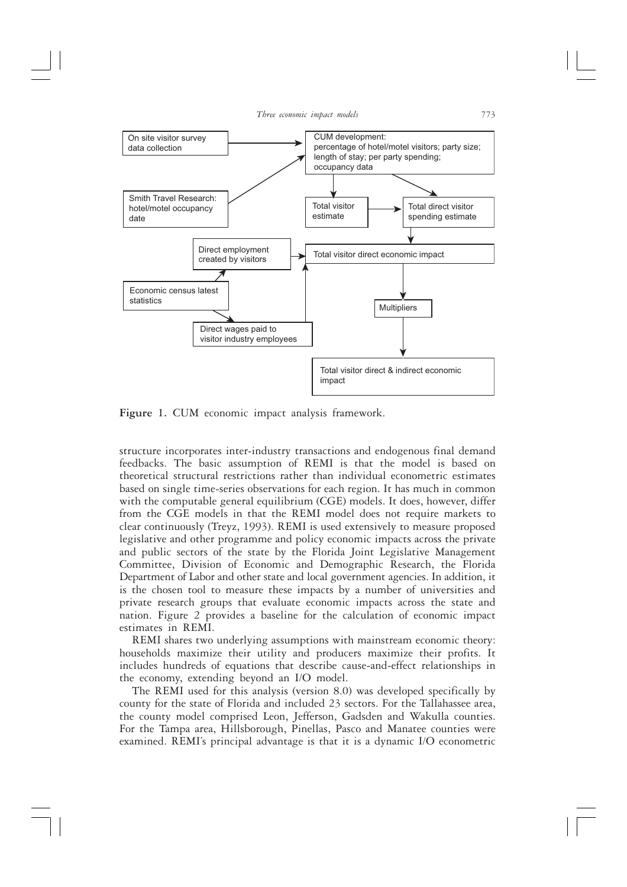

Figure 1. CUM economic impact analysis framework.

structure incorporates inter-industry transactions and endogenous final demand feedbacks. The basic assumption of REMI is that the model is based on theoretical structural restrictions rather than individual econometric estimates based on single time-series observations for each region. It has much in common with the computable general equilibrium (CGE) models. It does, however, differ from the CGE models in that the REMI model does not require markets to clear continuously (Treyz, 1993). REMI is used extensively to measure proposed legislative and other programme and policy economic impacts across the private and public sectors of the state by the Florida Joint Legislative Management Committee, Division of Economic and Demographic Research, the Florida Department of Labor and other state and local government agencies. In addition, it is the chosen tool to measure these impacts by a number of universities and private research groups that evaluate economic impacts across the state and nation. Figure 2 provides a baseline for the calculation of economic impact estimates in REMI.

REMI shares two underlying assumptions with mainstream economic theory: households maximize their utility and producers maximize their profits. It includes hundreds of equations that describe cause-and-effect relationships in the economy, extending beyond an I/O model.

The REMI used for this analysis (version 8.0) was developed specifically by county for the state of Florida and included 23 sectors. For the Tallahassee area, the county model comprised Leon, Jefferson, Gadsden and Wakulla counties. For the Tampa area, Hillsborough, Pinellas, Pasco and Manatee counties were examined. REMI's principal advantage is that it is a dynamic I/O econometric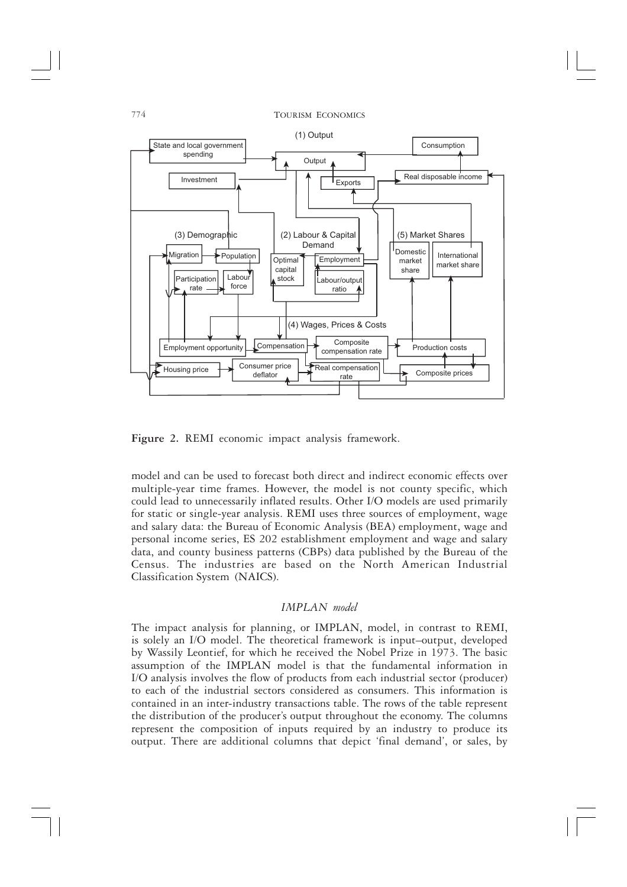

Figure 2. REMI economic impact analysis framework.

model and can be used to forecast both direct and indirect economic effects over multiple-year time frames. However, the model is not county specific, which could lead to unnecessarily inflated results. Other I/O models are used primarily for static or single-year analysis. REMI uses three sources of employment, wage and salary data: the Bureau of Economic Analysis (BEA) employment, wage and personal income series, ES 202 establishment employment and wage and salary data, and county business patterns (CBPs) data published by the Bureau of the Census. The industries are based on the North American Industrial Classification System (NAICS).

### **IMPLAN** model

The impact analysis for planning, or IMPLAN, model, in contrast to REMI, is solely an I/O model. The theoretical framework is input-output, developed by Wassily Leontief, for which he received the Nobel Prize in 1973. The basic assumption of the IMPLAN model is that the fundamental information in I/O analysis involves the flow of products from each industrial sector (producer) to each of the industrial sectors considered as consumers. This information is contained in an inter-industry transactions table. The rows of the table represent the distribution of the producer's output throughout the economy. The columns represent the composition of inputs required by an industry to produce its output. There are additional columns that depict 'final demand', or sales, by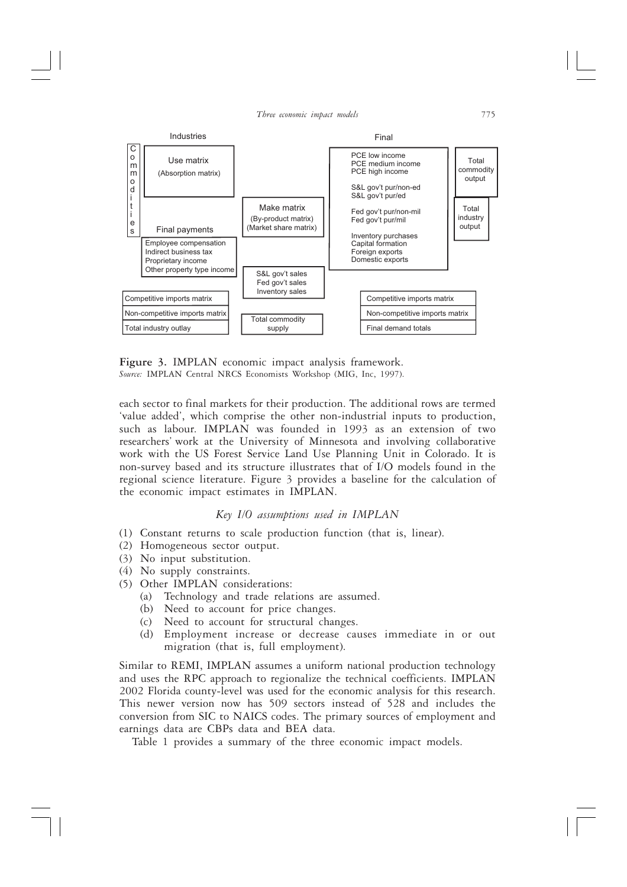

Figure 3. IMPLAN economic impact analysis framework. Source: IMPLAN Central NRCS Economists Workshop (MIG, Inc, 1997).

each sector to final markets for their production. The additional rows are termed 'value added', which comprise the other non-industrial inputs to production, such as labour. IMPLAN was founded in 1993 as an extension of two researchers' work at the University of Minnesota and involving collaborative work with the US Forest Service Land Use Planning Unit in Colorado. It is non-survey based and its structure illustrates that of I/O models found in the regional science literature. Figure 3 provides a baseline for the calculation of the economic impact estimates in IMPLAN.

### Key I/O assumptions used in IMPLAN

- (1) Constant returns to scale production function (that is, linear).
- (2) Homogeneous sector output.
- (3) No input substitution.
- $(4)$  No supply constraints.
- (5) Other IMPLAN considerations:
	- (a) Technology and trade relations are assumed.
	- (b) Need to account for price changes.
	- (c) Need to account for structural changes.
	- Employment increase or decrease causes immediate in or out  $(d)$ migration (that is, full employment).

Similar to REMI, IMPLAN assumes a uniform national production technology and uses the RPC approach to regionalize the technical coefficients. IMPLAN 2002 Florida county-level was used for the economic analysis for this research. This newer version now has 509 sectors instead of 528 and includes the conversion from SIC to NAICS codes. The primary sources of employment and earnings data are CBPs data and BEA data.

Table 1 provides a summary of the three economic impact models.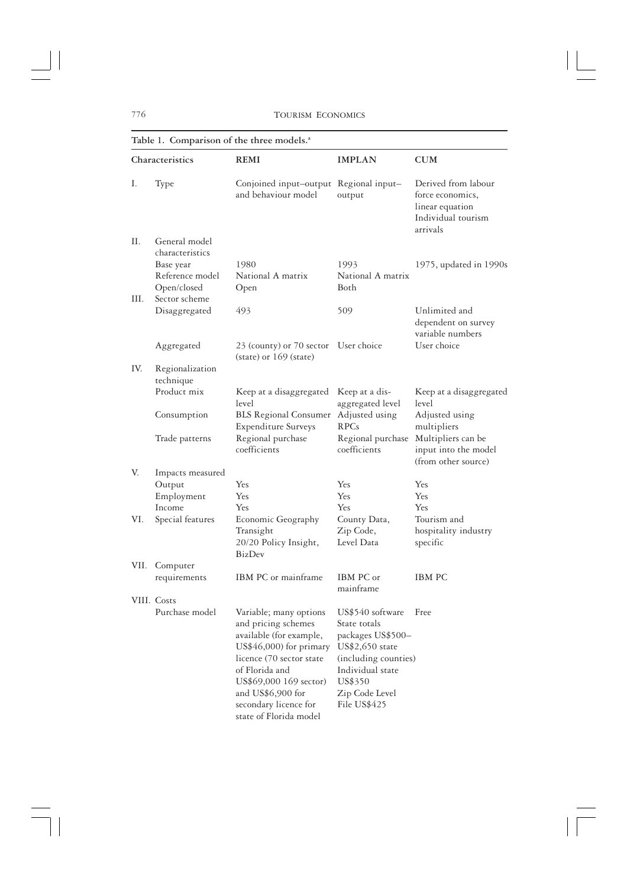|      | Table 1. Comparison of the three models. <sup>a</sup> |                                                                                                                                                                                                                                                     |                                                                                                                                                                   |                                                                                              |  |  |
|------|-------------------------------------------------------|-----------------------------------------------------------------------------------------------------------------------------------------------------------------------------------------------------------------------------------------------------|-------------------------------------------------------------------------------------------------------------------------------------------------------------------|----------------------------------------------------------------------------------------------|--|--|
|      | Characteristics                                       | <b>REMI</b>                                                                                                                                                                                                                                         | <b>IMPLAN</b>                                                                                                                                                     | <b>CUM</b>                                                                                   |  |  |
| Ι.   | Type                                                  | Conjoined input-output Regional input-<br>and behaviour model                                                                                                                                                                                       | output                                                                                                                                                            | Derived from labour<br>force economics,<br>linear equation<br>Individual tourism<br>arrivals |  |  |
| П.   | General model<br>characteristics                      |                                                                                                                                                                                                                                                     |                                                                                                                                                                   |                                                                                              |  |  |
|      | Base year                                             | 1980                                                                                                                                                                                                                                                | 1993                                                                                                                                                              | 1975, updated in 1990s                                                                       |  |  |
|      | Reference model                                       | National A matrix                                                                                                                                                                                                                                   | National A matrix                                                                                                                                                 |                                                                                              |  |  |
|      | Open/closed                                           | Open                                                                                                                                                                                                                                                | Both                                                                                                                                                              |                                                                                              |  |  |
| III. | Sector scheme                                         |                                                                                                                                                                                                                                                     |                                                                                                                                                                   |                                                                                              |  |  |
|      | Disaggregated                                         | 493                                                                                                                                                                                                                                                 | 509                                                                                                                                                               | Unlimited and<br>dependent on survey<br>variable numbers                                     |  |  |
|      | Aggregated                                            | 23 (county) or 70 sector<br>$(state)$ or 169 (state)                                                                                                                                                                                                | User choice                                                                                                                                                       | User choice                                                                                  |  |  |
| IV.  | Regionalization                                       |                                                                                                                                                                                                                                                     |                                                                                                                                                                   |                                                                                              |  |  |
|      | technique                                             |                                                                                                                                                                                                                                                     |                                                                                                                                                                   |                                                                                              |  |  |
|      | Product mix                                           | Keep at a disaggregated<br>level                                                                                                                                                                                                                    | Keep at a dis-<br>aggregated level                                                                                                                                | Keep at a disaggregated<br>level                                                             |  |  |
|      | Consumption                                           | <b>BLS</b> Regional Consumer<br><b>Expenditure Surveys</b>                                                                                                                                                                                          | Adjusted using<br><b>RPCs</b>                                                                                                                                     | Adjusted using<br>multipliers                                                                |  |  |
|      | Trade patterns                                        | Regional purchase<br>coefficients                                                                                                                                                                                                                   | Regional purchase<br>coefficients                                                                                                                                 | Multipliers can be<br>input into the model<br>(from other source)                            |  |  |
| V.   | Impacts measured                                      |                                                                                                                                                                                                                                                     |                                                                                                                                                                   |                                                                                              |  |  |
|      | Output                                                | Yes                                                                                                                                                                                                                                                 | Yes                                                                                                                                                               | Yes                                                                                          |  |  |
|      | Employment                                            | Yes                                                                                                                                                                                                                                                 | Yes                                                                                                                                                               | Yes                                                                                          |  |  |
|      | Income                                                | Yes                                                                                                                                                                                                                                                 | Yes                                                                                                                                                               | Yes                                                                                          |  |  |
| VI.  | Special features                                      | Economic Geography                                                                                                                                                                                                                                  | County Data,                                                                                                                                                      | Tourism and                                                                                  |  |  |
|      |                                                       | Transight                                                                                                                                                                                                                                           | Zip Code,                                                                                                                                                         | hospitality industry                                                                         |  |  |
|      |                                                       | 20/20 Policy Insight,<br><b>BizDev</b>                                                                                                                                                                                                              | Level Data                                                                                                                                                        | specific                                                                                     |  |  |
| VII. | Computer                                              |                                                                                                                                                                                                                                                     |                                                                                                                                                                   |                                                                                              |  |  |
|      | requirements                                          | IBM PC or mainframe                                                                                                                                                                                                                                 | IBM PC or                                                                                                                                                         | <b>IBM PC</b>                                                                                |  |  |
|      | VIII. Costs                                           |                                                                                                                                                                                                                                                     | mainframe                                                                                                                                                         |                                                                                              |  |  |
|      | Purchase model                                        | Variable; many options<br>and pricing schemes<br>available (for example,<br>US\$46,000) for primary<br>licence (70 sector state<br>of Florida and<br>US\$69,000 169 sector)<br>and US\$6,900 for<br>secondary licence for<br>state of Florida model | US\$540 software<br>State totals<br>packages US\$500-<br>US\$2,650 state<br>(including counties)<br>Individual state<br>US\$350<br>Zip Code Level<br>File US\$425 | Free                                                                                         |  |  |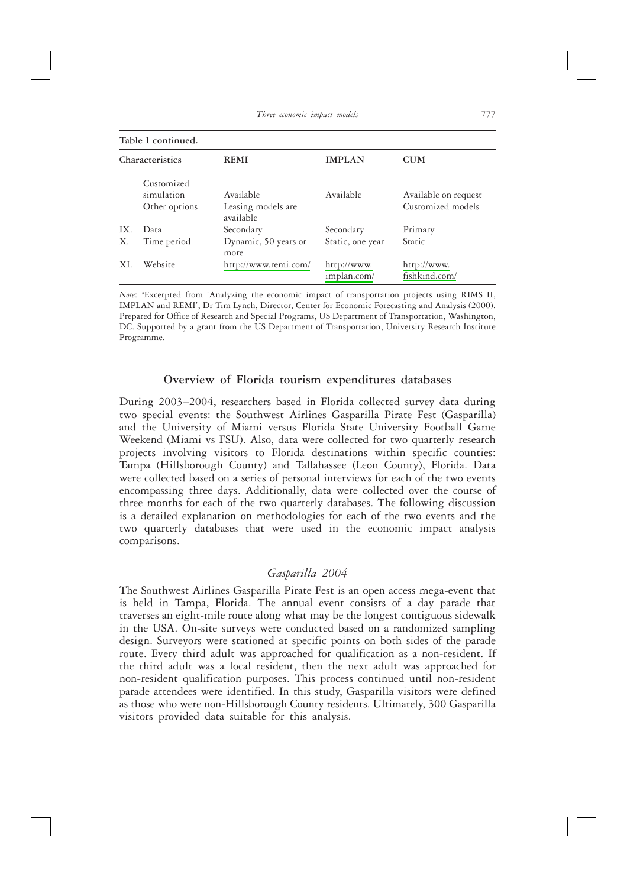#### Table 1 continued.

| Characteristics |                                           | <b>REMI</b>                     | <b>IMPLAN</b>              | <b>CUM</b>                                |  |
|-----------------|-------------------------------------------|---------------------------------|----------------------------|-------------------------------------------|--|
|                 | Customized<br>simulation<br>Other options | Available<br>Leasing models are | Available                  | Available on request<br>Customized models |  |
| IX.             | Data                                      | available<br>Secondary          | Secondary                  | Primary                                   |  |
| Χ.              | Time period                               | Dynamic, 50 years or<br>more    | Static, one year           | Static                                    |  |
| XI.             | Website                                   | http://www.remi.com/            | http://www.<br>implan.com/ | http://www.<br>fishkind.com/              |  |

Note: "Excerpted from 'Analyzing the economic impact of transportation projects using RIMS II, IMPLAN and REMI', Dr Tim Lynch, Director, Center for Economic Forecasting and Analysis (2000). Prepared for Office of Research and Special Programs, US Department of Transportation, Washington, DC. Supported by a grant from the US Department of Transportation, University Research Institute Programme.

### Overview of Florida tourism expenditures databases

During 2003-2004, researchers based in Florida collected survey data during two special events: the Southwest Airlines Gasparilla Pirate Fest (Gasparilla) and the University of Miami versus Florida State University Football Game Weekend (Miami vs FSU). Also, data were collected for two quarterly research projects involving visitors to Florida destinations within specific counties: Tampa (Hillsborough County) and Tallahassee (Leon County), Florida. Data were collected based on a series of personal interviews for each of the two events encompassing three days. Additionally, data were collected over the course of three months for each of the two quarterly databases. The following discussion is a detailed explanation on methodologies for each of the two events and the two quarterly databases that were used in the economic impact analysis comparisons.

## Gasparilla 2004

The Southwest Airlines Gasparilla Pirate Fest is an open access mega-event that is held in Tampa, Florida. The annual event consists of a day parade that traverses an eight-mile route along what may be the longest contiguous sidewalk in the USA. On-site surveys were conducted based on a randomized sampling design. Surveyors were stationed at specific points on both sides of the parade route. Every third adult was approached for qualification as a non-resident. If the third adult was a local resident, then the next adult was approached for non-resident qualification purposes. This process continued until non-resident parade attendees were identified. In this study, Gasparilla visitors were defined as those who were non-Hillsborough County residents. Ultimately, 300 Gasparilla visitors provided data suitable for this analysis.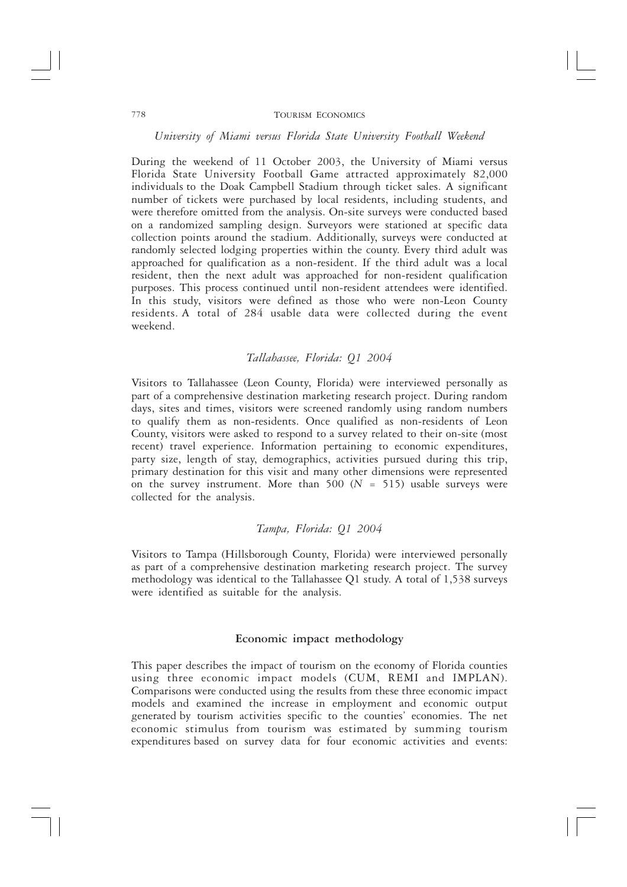University of Miami versus Florida State University Football Weekend

During the weekend of 11 October 2003, the University of Miami versus Florida State University Football Game attracted approximately 82,000 individuals to the Doak Campbell Stadium through ticket sales. A significant number of tickets were purchased by local residents, including students, and were therefore omitted from the analysis. On-site surveys were conducted based on a randomized sampling design. Surveyors were stationed at specific data collection points around the stadium. Additionally, surveys were conducted at randomly selected lodging properties within the county. Every third adult was approached for qualification as a non-resident. If the third adult was a local resident, then the next adult was approached for non-resident qualification purposes. This process continued until non-resident attendees were identified. In this study, visitors were defined as those who were non-Leon County residents. A total of 284 usable data were collected during the event weekend.

## Tallahassee, Florida: Q1 2004

Visitors to Tallahassee (Leon County, Florida) were interviewed personally as part of a comprehensive destination marketing research project. During random days, sites and times, visitors were screened randomly using random numbers to qualify them as non-residents. Once qualified as non-residents of Leon County, visitors were asked to respond to a survey related to their on-site (most recent) travel experience. Information pertaining to economic expenditures, party size, length of stay, demographics, activities pursued during this trip, primary destination for this visit and many other dimensions were represented on the survey instrument. More than  $500 (N = 515)$  usable surveys were collected for the analysis.

# Tampa, Florida: Q1 2004

Visitors to Tampa (Hillsborough County, Florida) were interviewed personally as part of a comprehensive destination marketing research project. The survey methodology was identical to the Tallahassee Q1 study. A total of 1,538 surveys were identified as suitable for the analysis.

## Economic impact methodology

This paper describes the impact of tourism on the economy of Florida counties using three economic impact models (CUM, REMI and IMPLAN). Comparisons were conducted using the results from these three economic impact models and examined the increase in employment and economic output generated by tourism activities specific to the counties' economies. The net economic stimulus from tourism was estimated by summing tourism expenditures based on survey data for four economic activities and events: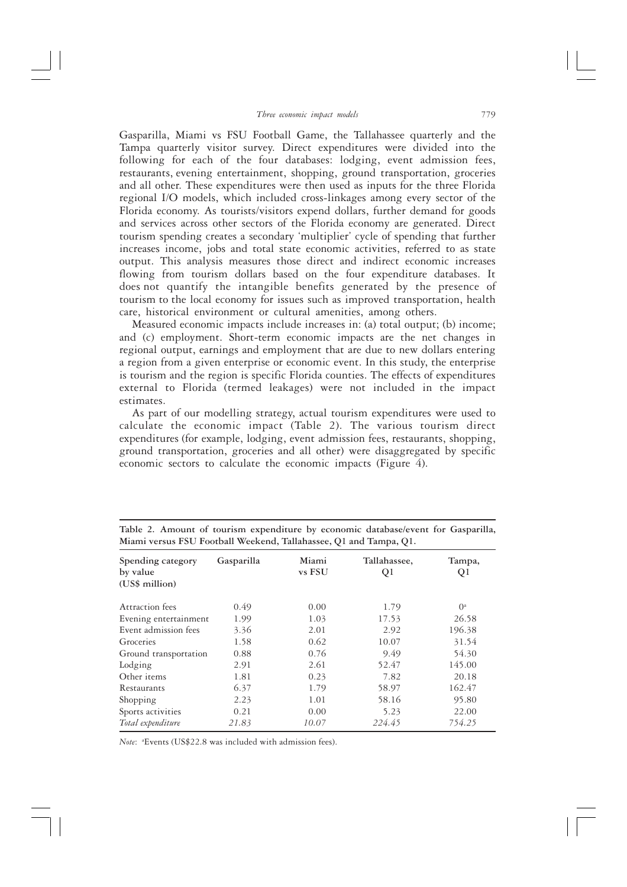Gasparilla, Miami vs FSU Football Game, the Tallahassee quarterly and the Tampa quarterly visitor survey. Direct expenditures were divided into the following for each of the four databases: lodging, event admission fees, restaurants, evening entertainment, shopping, ground transportation, groceries and all other. These expenditures were then used as inputs for the three Florida regional I/O models, which included cross-linkages among every sector of the Florida economy. As tourists/visitors expend dollars, further demand for goods and services across other sectors of the Florida economy are generated. Direct tourism spending creates a secondary 'multiplier' cycle of spending that further increases income, jobs and total state economic activities, referred to as state output. This analysis measures those direct and indirect economic increases flowing from tourism dollars based on the four expenditure databases. It does not quantify the intangible benefits generated by the presence of tourism to the local economy for issues such as improved transportation, health care, historical environment or cultural amenities, among others.

Measured economic impacts include increases in: (a) total output; (b) income; and (c) employment. Short-term economic impacts are the net changes in regional output, earnings and employment that are due to new dollars entering a region from a given enterprise or economic event. In this study, the enterprise is tourism and the region is specific Florida counties. The effects of expenditures external to Florida (termed leakages) were not included in the impact estimates.

As part of our modelling strategy, actual tourism expenditures were used to calculate the economic impact (Table 2). The various tourism direct expenditures (for example, lodging, event admission fees, restaurants, shopping, ground transportation, groceries and all other) were disaggregated by specific economic sectors to calculate the economic impacts (Figure  $\ddot{4}$ ).

| Spending category<br>by value<br>(US\$ million) | Gasparilla | Miami<br>vs FSU | Tallahassee,<br>Q1 | Tampa,<br>Q1 |
|-------------------------------------------------|------------|-----------------|--------------------|--------------|
| Attraction fees                                 | 0.49       | 0.00            | 1.79               | $0^a$        |
| Evening entertainment                           | 1.99       | 1.03            | 17.53              | 26.58        |
| Event admission fees                            | 3.36       | 2.01            | 2.92               | 196.38       |
| Groceries                                       | 1.58       | 0.62            | 10.07              | 31.54        |
| Ground transportation                           | 0.88       | 0.76            | 9.49               | 54.30        |
| Lodging                                         | 2.91       | 2.61            | 52.47              | 145.00       |
| Other items                                     | 1.81       | 0.23            | 7.82               | 20.18        |
| Restaurants                                     | 6.37       | 1.79            | 58.97              | 162.47       |
| Shopping                                        | 2.23       | 1.01            | 58.16              | 95.80        |
| Sports activities                               | 0.21       | 0.00            | 5.23               | 22.00        |
| Total expenditure                               | 21.83      | 10.07           | 224.45             | 754.25       |

Table 2. Amount of tourism expenditure by economic database/event for Gasparilla, Miami versus FSU Football Weekend, Tallahassee, O1 and Tampa, O1.

Note: <sup>a</sup>Events (US\$22.8 was included with admission fees).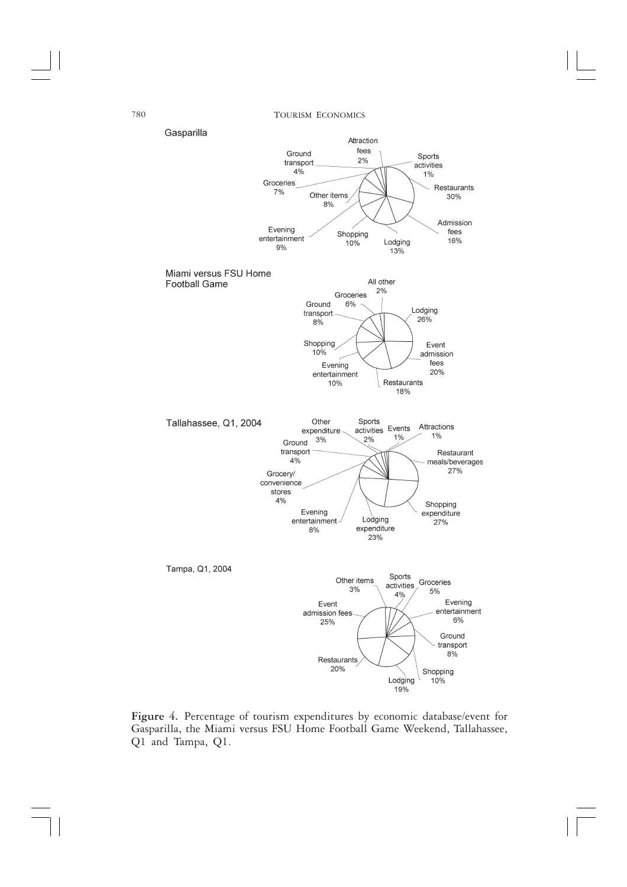

Figure 4. Percentage of tourism expenditures by economic database/event for Gasparilla, the Miami versus FSU Home Football Game Weekend, Tallahassee, Q1 and Tampa, Q1.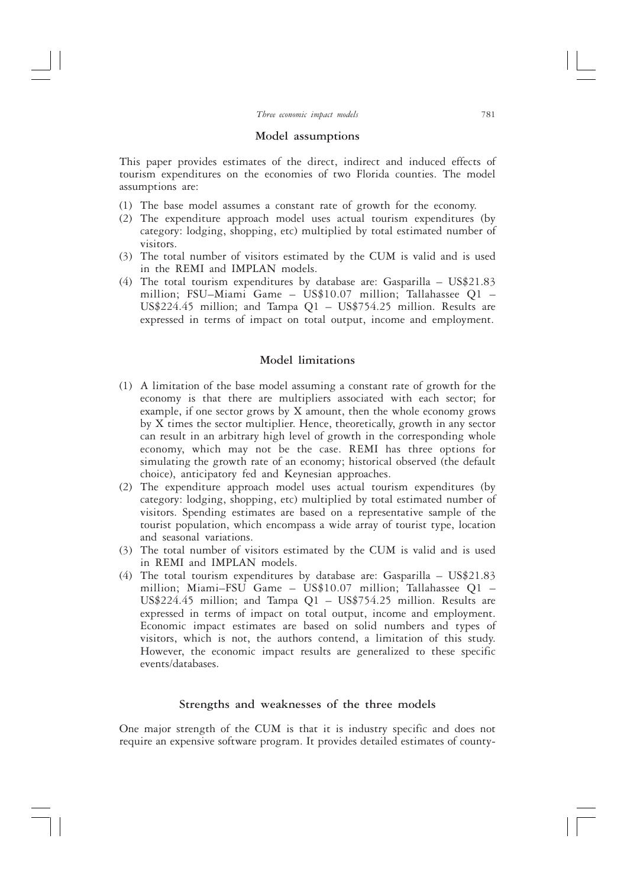### Model assumptions

This paper provides estimates of the direct, indirect and induced effects of tourism expenditures on the economies of two Florida counties. The model assumptions are:

- (1) The base model assumes a constant rate of growth for the economy.
- (2) The expenditure approach model uses actual tourism expenditures (by category: lodging, shopping, etc) multiplied by total estimated number of visitors.
- (3) The total number of visitors estimated by the CUM is valid and is used in the REMI and IMPLAN models.
- (4) The total tourism expenditures by database are: Gasparilla US\$21.83 million; FSU-Miami Game - US\$10.07 million; Tallahassee Q1 -US\$224.45 million; and Tampa Q1 - US\$754.25 million. Results are expressed in terms of impact on total output, income and employment.

# Model limitations

- (1) A limitation of the base model assuming a constant rate of growth for the economy is that there are multipliers associated with each sector; for example, if one sector grows by  $X$  amount, then the whole economy grows by X times the sector multiplier. Hence, theoretically, growth in any sector can result in an arbitrary high level of growth in the corresponding whole economy, which may not be the case. REMI has three options for simulating the growth rate of an economy; historical observed (the default choice), anticipatory fed and Keynesian approaches.
- (2) The expenditure approach model uses actual tourism expenditures (by category: lodging, shopping, etc) multiplied by total estimated number of visitors. Spending estimates are based on a representative sample of the tourist population, which encompass a wide array of tourist type, location and seasonal variations.
- (3) The total number of visitors estimated by the CUM is valid and is used in REMI and IMPLAN models.
- (4) The total tourism expenditures by database are: Gasparilla  $US$21.83$ million; Miami-FSU Game - US\$10.07 million; Tallahassee Q1 -US\$224.45 million; and Tampa Q1 - US\$754.25 million. Results are expressed in terms of impact on total output, income and employment. Economic impact estimates are based on solid numbers and types of visitors, which is not, the authors contend, a limitation of this study. However, the economic impact results are generalized to these specific events/databases.

# Strengths and weaknesses of the three models

One major strength of the CUM is that it is industry specific and does not require an expensive software program. It provides detailed estimates of county-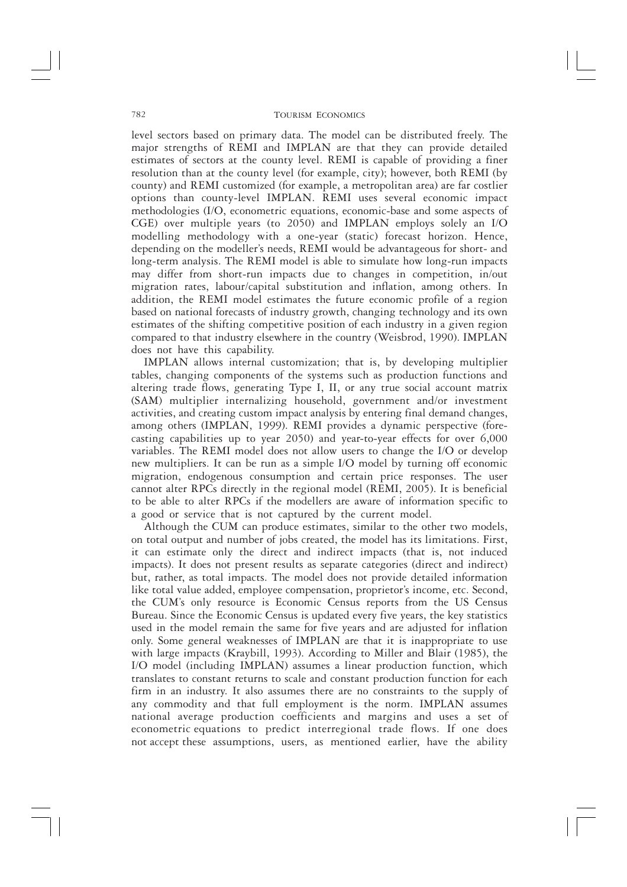level sectors based on primary data. The model can be distributed freely. The major strengths of REMI and IMPLAN are that they can provide detailed<br>estimates of sectors at the county level. REMI is capable of providing a finer resolution than at the county level (for example, city); however, both REMI (by county) and REMI customized (for example, a metropolitan area) are far costlier options than county-level IMPLAN. REMI uses several economic impact methodologies (I/O, econometric equations, economic-base and some aspects of CGE) over multiple years (to 2050) and IMPLAN employs solely an I/O modelling methodology with a one-year (static) forecast horizon. Hence, depending on the modeller's needs, REMI would be advantageous for short- and long-term analysis. The REMI model is able to simulate how long-run impacts may differ from short-run impacts due to changes in competition, in/out migration rates, labour/capital substitution and inflation, among others. In addition, the REMI model estimates the future economic profile of a region based on national forecasts of industry growth, changing technology and its own estimates of the shifting competitive position of each industry in a given region compared to that industry elsewhere in the country (Weisbrod, 1990). IMPLAN does not have this capability.

IMPLAN allows internal customization; that is, by developing multiplier tables, changing components of the systems such as production functions and altering trade flows, generating Type I, II, or any true social account matrix (SAM) multiplier internalizing household, government and/or investment<br>activities, and creating custom impact analysis by entering final demand changes, among others (IMPLAN, 1999). REMI provides a dynamic perspective (forecasting capabilities up to year 2050) and year-to-year effects for over 6,000 variables. The REMI model does not allow users to change the I/O or develop new multipliers. It can be run as a simple I/O model by turning off economic migration, endogenous consumption and certain price responses. The user cannot alter RPCs directly in the regional model (REMI, 2005). It is beneficial to be able to alter RPCs if the modellers are aware of information specific to a good or service that is not captured by the current model.

Although the CUM can produce estimates, similar to the other two models, on total output and number of jobs created, the model has its limitations. First, it can estimate only the direct and indirect impacts (that is, not induced impacts). It does not present results as separate categories (direct and indirect) but, rather, as total impacts. The model does not provide detailed information like total value added, employee compensation, proprietor's income, etc. Second, the CUM's only resource is Economic Census reports from the US Census Bureau. Since the Economic Census is updated every five years, the key statistics used in the model remain the same for five years and are adjusted for inflation<br>only. Some general weaknesses of IMPLAN are that it is inappropriate to use with large impacts (Kraybill, 1993). According to Miller and Blair (1985), the I/O model (including IMPLAN) assumes a linear production function, which translates to constant returns to scale and constant production function for each firm in an industry. It also assumes there are no constraints to the supply of any commodity and that full employment is the norm. IMPLAN assumes national average production coefficients and margins and uses a set of econometric equations to predict interregional trade flows. If one does not accept these assumptions, users, as mentioned earlier, have the ability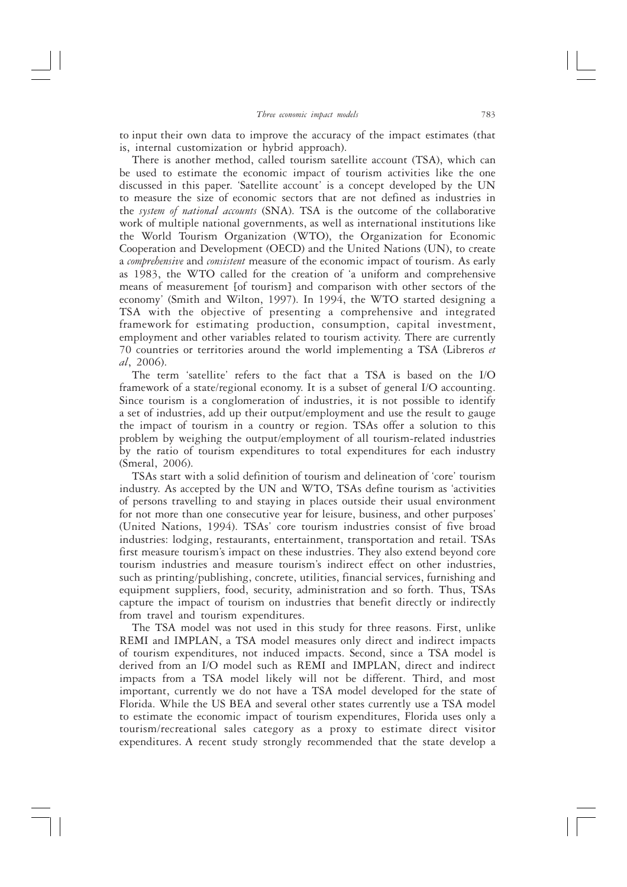to input their own data to improve the accuracy of the impact estimates (that is, internal customization or hybrid approach).

There is another method, called tourism satellite account (TSA), which can be used to estimate the economic impact of tourism activities like the one discussed in this paper. 'Satellite account' is a concept developed by the UN to measure the size of economic sectors that are not defined as industries in the system of national accounts (SNA). TSA is the outcome of the collaborative work of multiple national governments, as well as international institutions like the World Tourism Organization (WTO), the Organization for Economic Cooperation and Development (OECD) and the United Nations (UN), to create a comprehensive and consistent measure of the economic impact of tourism. As early as 1983, the WTO called for the creation of 'a uniform and comprehensive means of measurement [of tourism] and comparison with other sectors of the economy' (Smith and Wilton, 1997). In 1994, the WTO started designing a TSA with the objective of presenting a comprehensive and integrated framework for estimating production, consumption, capital investment, employment and other variables related to tourism activity. There are currently 70 countries or territories around the world implementing a TSA (Libreros et  $al, 2006$ ).

The term 'satellite' refers to the fact that a TSA is based on the I/O framework of a state/regional economy. It is a subset of general I/O accounting. Since tourism is a conglomeration of industries, it is not possible to identify a set of industries, add up their output/employment and use the result to gauge the impact of tourism in a country or region. TSAs offer a solution to this problem by weighing the output/employment of all tourism-related industries by the ratio of tourism expenditures to total expenditures for each industry (Smeral, 2006).

TSAs start with a solid definition of tourism and delineation of 'core' tourism industry. As accepted by the UN and WTO, TSAs define tourism as 'activities of persons travelling to and staying in places outside their usual environment for not more than one consecutive year for leisure, business, and other purposes' (United Nations, 1994). TSAs' core tourism industries consist of five broad industries: lodging, restaurants, entertainment, transportation and retail. TSAs first measure tourism's impact on these industries. They also extend beyond core tourism industries and measure tourism's indirect effect on other industries, such as printing/publishing, concrete, utilities, financial services, furnishing and equipment suppliers, food, security, administration and so forth. Thus, TSAs capture the impact of tourism on industries that benefit directly or indirectly from travel and tourism expenditures.

The TSA model was not used in this study for three reasons. First, unlike REMI and IMPLAN, a TSA model measures only direct and indirect impacts of tourism expenditures, not induced impacts. Second, since a TSA model is derived from an I/O model such as REMI and IMPLAN, direct and indirect impacts from a TSA model likely will not be different. Third, and most important, currently we do not have a TSA model developed for the state of Florida. While the US BEA and several other states currently use a TSA model to estimate the economic impact of tourism expenditures, Florida uses only a tourism/recreational sales category as a proxy to estimate direct visitor expenditures. A recent study strongly recommended that the state develop a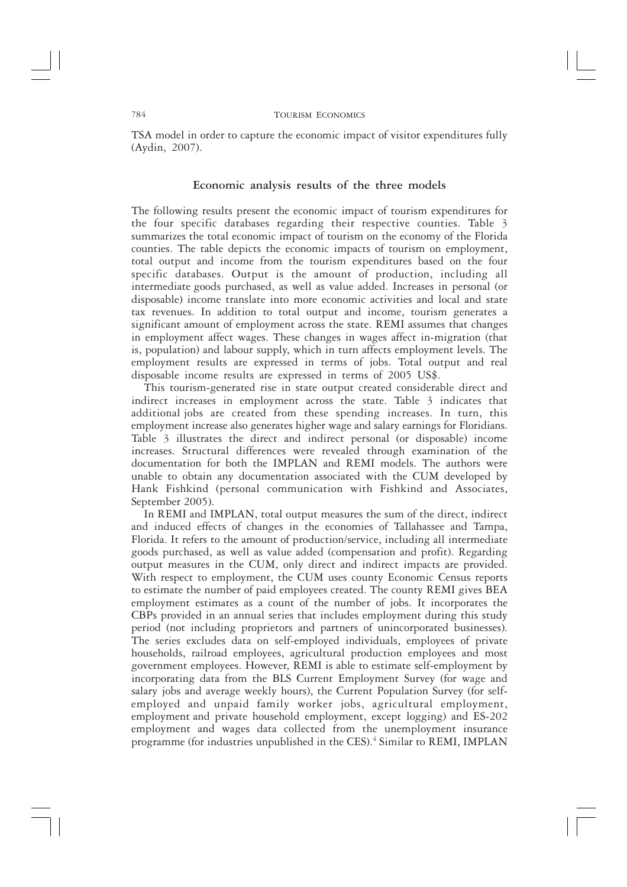TSA model in order to capture the economic impact of visitor expenditures fully (Aydin, 2007).

# Economic analysis results of the three models

The following results present the economic impact of tourism expenditures for the four specific databases regarding their respective counties. Table 3 summarizes the total economic impact of tourism on the economy of the Florida counties. The table depicts the economic impacts of tourism on employment, total output and income from the tourism expenditures based on the four specific databases. Output is the amount of production, including all intermediate goods purchased, as well as value added. Increases in personal (or disposable) income translate into more economic activities and local and state tax revenues. In addition to total output and income, tourism generates a significant amount of employment across the state. REMI assumes that changes in employment affect wages. These changes in wages affect in-migration (that is, population) and labour supply, which in turn affects employment levels. The employment results are expressed in terms of jobs. Total output and real disposable income results are expressed in terms of 2005 US\$.

This tourism-generated rise in state output created considerable direct and indirect increases in employment across the state. Table 3 indicates that additional jobs are created from these spending increases. In turn, this employment increase also generates higher wage and salary earnings for Floridians. Table 3 illustrates the direct and indirect personal (or disposable) income increases. Structural differences were revealed through examination of the documentation for both the IMPLAN and REMI models. The authors were unable to obtain any documentation associated with the CUM developed by Hank Fishkind (personal communication with Fishkind and Associates, September 2005).

In REMI and IMPLAN, total output measures the sum of the direct, indirect and induced effects of changes in the economies of Tallahassee and Tampa, Florida. It refers to the amount of production/service, including all intermediate goods purchased, as well as value added (compensation and profit). Regarding output measures in the CUM, only direct and indirect impacts are provided. With respect to employment, the CUM uses county Economic Census reports to estimate the number of paid employees created. The county REMI gives BEA employment estimates as a count of the number of jobs. It incorporates the CBPs provided in an annual series that includes employment during this study period (not including proprietors and partners of unincorporated businesses). The series excludes data on self-employed individuals, employees of private households, railroad employees, agricultural production employees and most government employees. However, REMI is able to estimate self-employment by incorporating data from the BLS Current Employment Survey (for wage and salary jobs and average weekly hours), the Current Population Survey (for selfemployed and unpaid family worker jobs, agricultural employment,<br>employment and private household employment, except logging) and ES-202 employment and wages data collected from the unemployment insurance programme (for industries unpublished in the CES).<sup>4</sup> Similar to REMI, IMPLAN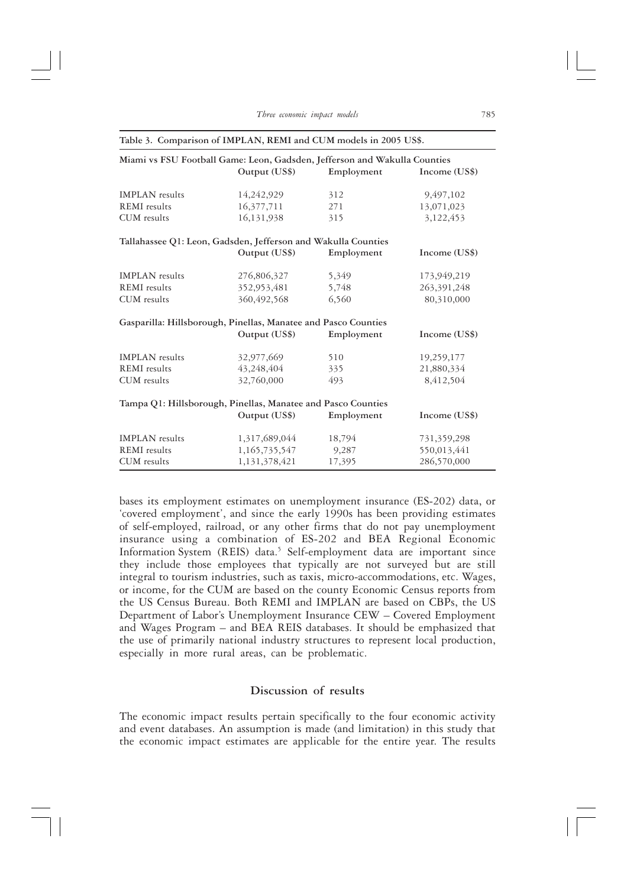| Miami vs FSU Football Game: Leon, Gadsden, Jefferson and Wakulla Counties |               |            |               |  |  |
|---------------------------------------------------------------------------|---------------|------------|---------------|--|--|
|                                                                           | Output (US\$) | Employment | Income (US\$) |  |  |
| <b>IMPLAN</b> results                                                     | 14,242,929    | 312        | 9,497,102     |  |  |
| <b>REMI</b> results                                                       | 16,377,711    | 271        | 13,071,023    |  |  |
| CUM results                                                               | 16,131,938    | 315        | 3,122,453     |  |  |
| Tallahassee Q1: Leon, Gadsden, Jefferson and Wakulla Counties             |               |            |               |  |  |
|                                                                           | Output (US\$) | Employment | Income (US\$) |  |  |
| <b>IMPLAN</b> results                                                     | 276,806,327   | 5,349      | 173,949,219   |  |  |
| <b>REMI</b> results                                                       | 352,953,481   | 5,748      | 263,391,248   |  |  |
| CUM results                                                               | 360, 492, 568 | 6,560      | 80,310,000    |  |  |
| Gasparilla: Hillsborough, Pinellas, Manatee and Pasco Counties            |               |            |               |  |  |
|                                                                           | Output (US\$) | Employment | Income (US\$) |  |  |
| <b>IMPLAN</b> results                                                     | 32,977,669    | 510        | 19,259,177    |  |  |
| <b>REMI</b> results                                                       | 43,248,404    | 335        | 21,880,334    |  |  |
| CUM results                                                               | 32,760,000    | 493        | 8,412,504     |  |  |
| Tampa Q1: Hillsborough, Pinellas, Manatee and Pasco Counties              |               |            |               |  |  |
|                                                                           | Output (US\$) | Employment | Income (US\$) |  |  |
| <b>IMPLAN</b> results                                                     | 1,317,689,044 | 18,794     | 731,359,298   |  |  |
| <b>REMI</b> results                                                       | 1,165,735,547 | 9,287      | 550,013,441   |  |  |
| CUM results                                                               | 1,131,378,421 | 17,395     | 286,570,000   |  |  |

#### Table 3. Comparison of IMPLAN, REMI and CUM models in 2005 US\$.

bases its employment estimates on unemployment insurance (ES-202) data, or 'covered employment', and since the early 1990s has been providing estimates of self-employed, railroad, or any other firms that do not pay unemployment insurance using a combination of ES-202 and BEA Regional Economic Information System (REIS) data.<sup>5</sup> Self-employment data are important since they include those employees that typically are not surveyed but are still integral to tourism industries, such as taxis, micro-accommodations, etc. Wages, or income, for the CUM are based on the county Economic Census reports from the US Census Bureau. Both REMI and IMPLAN are based on CBPs, the US Department of Labor's Unemployment Insurance CEW - Covered Employment and Wages Program - and BEA REIS databases. It should be emphasized that the use of primarily national industry structures to represent local production, especially in more rural areas, can be problematic.

### Discussion of results

The economic impact results pertain specifically to the four economic activity and event databases. An assumption is made (and limitation) in this study that the economic impact estimates are applicable for the entire year. The results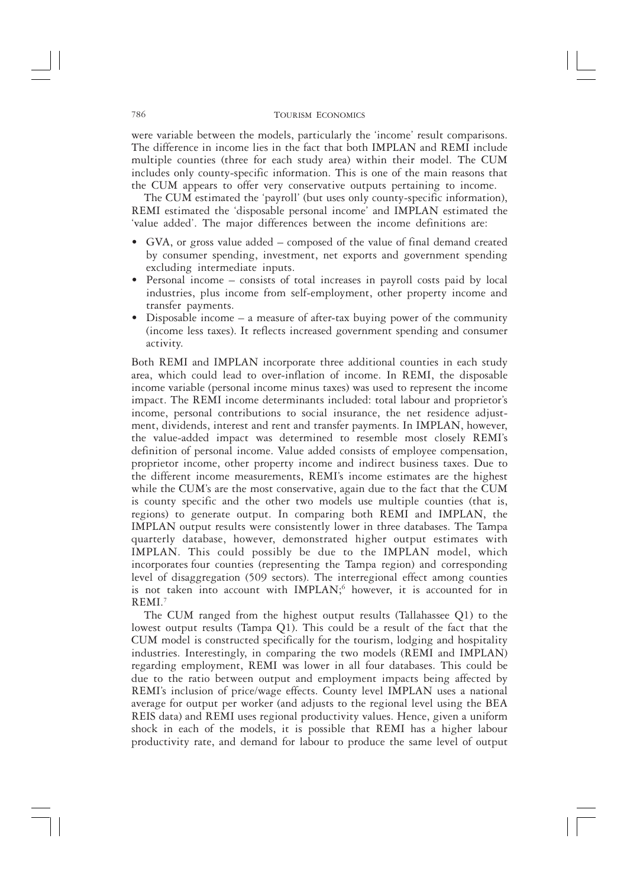were variable between the models, particularly the 'income' result comparisons. The difference in income lies in the fact that both IMPLAN and REMI include multiple counties (three for each study area) within their model. The CUM includes only county-specific information. This is one of the main reasons that

the CUM appears to offer very conservative outputs pertaining to income.<br>The CUM estimated the 'payroll' (but uses only county-specific information), REMI estimated the 'disposable personal income' and IMPLAN estimated the 'value added'. The major differences between the income definitions are:

- GVA, or gross value added composed of the value of final demand created by consumer spending, investment, net exports and government spending excluding intermediate inputs.
- Personal income consists of total increases in payroll costs paid by local industries, plus income from self-employment, other property income and transfer payments.
- Disposable income  $-$  a measure of after-tax buying power of the community (income less taxes). It reflects increased government spending and consumer activity.

Both REMI and IMPLAN incorporate three additional counties in each study area, which could lead to over-inflation of income. In REMI, the disposable income variable (personal income minus taxes) was used to represent the income impact. The REMI income determinants included: total labour and proprietor's income, personal contributions to social insurance, the net residence adjustment, dividends, interest and rent and transfer payments. In IMPLAN, however, the value-added impact was determined to resemble most closely REMI's definition of personal income. Value added consists of employee compensation, proprietor income, other property income and indirect business taxes. Due to the different income measurements, REMI's income estimates are the highest while the CUM's are the most conservative, again due to the fact that the CUM is county specific and the other two models use multiple counties (that is, regions) to generate output. In comparing both REMI and IMPLAN, the IMPLAN output results were consistently lower in three databases. The Tampa quarterly database, however, demonstrated higher output estimates with IMPLAN. This could possibly be due to the IMPLAN model, which incorporates four counties (representing the Tampa region) and corresponding<br>level of disaggregation (509 sectors). The interregional effect among counties<br>is not taken into account with IMPLAN;<sup>6</sup> however, it is accounted  $REMI$ .<sup>7</sup>

The CUM ranged from the highest output results (Tallahassee Q1) to the lowest output results (Tampa Q1). This could be a result of the fact that the CUM model is constructed specifically for the tourism, lodging and hospitality industries. Interestingly, in comparing the two models (REMI and IMPLAN) regarding employment, REMI was lower in all four databases. This could be due to the ratio between output and employment impacts being affected by REMI's inclusion of price/wage effects. County level IMPLAN uses a national average for output per worker (and adjusts to the regional level using the BEA REIS data) and REMI uses regional productivity values. Hence, given a uniform shock in each of the models, it is possible that REMI has a higher labour productivity rate, and demand for labour to produce the same level of output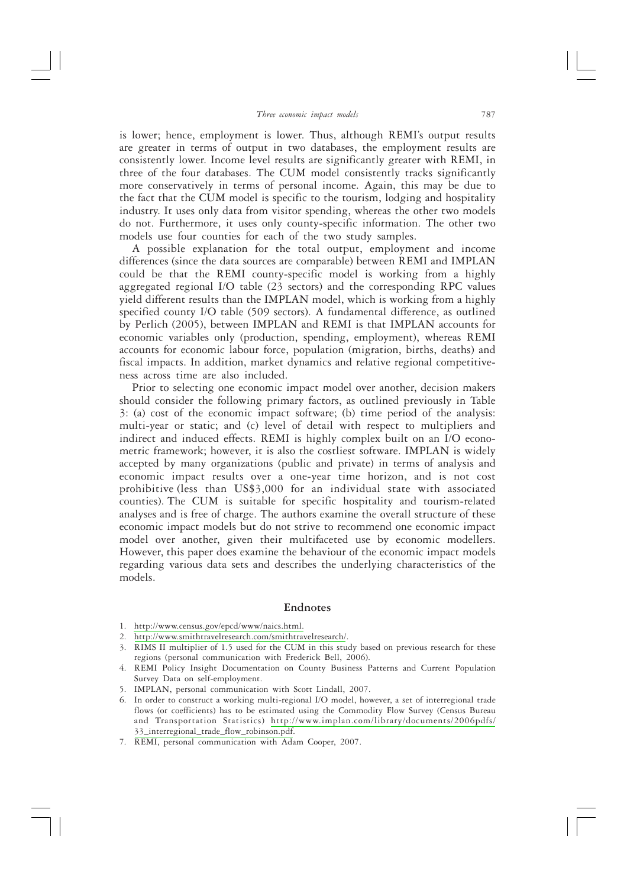is lower; hence, employment is lower. Thus, although REMI's output results are greater in terms of output in two databases, the employment results are consistently lower. Income level results are significantly greater with REMI, in three of the four databases. The CUM model consistently tracks significantly more conservatively in terms of personal income. Again, this may be due to the fact that the CUM model is specific to the tourism, lodging and hospitality industry. It uses only data from visitor spending, whereas the other two models do not. Furthermore, it uses only county-specific information. The other two models use four counties for each of the two study samples.

A possible explanation for the total output, employment and income differences (since the data sources are comparable) between REMI and IMPLAN could be that the REMI county-specific model is working from a highly aggregated regional I/O table (23 sectors) and the corresponding RPC values yield different results than the IMPLAN model, which is working from a highly specified county I/O table (509 sectors). A fundamental difference, as outlined by Perlich (2005), between IMPLAN and REMI is that IMPLAN accounts for economic variables only (production, spending, employment), whereas REMI accounts for economic labour force, population (migration, births, deaths) and fiscal impacts. In addition, market dynamics and relative regional competitiveness across time are also included.

Prior to selecting one economic impact model over another, decision makers should consider the following primary factors, as outlined previously in Table 3: (a) cost of the economic impact software; (b) time period of the analysis: multi-year or static; and (c) level of detail with respect to multipliers and indirect and induced effects. REMI is highly complex built on an I/O econometric framework; however, it is also the costliest software. IMPLAN is widely accepted by many organizations (public and private) in terms of analysis and economic impact results over a one-year time horizon, and is not cost prohibitive (less than US\$3,000 for an individual state with associated counties). The CUM is suitable for specific hospitality and tourism-related analyses and is free of charge. The authors examine the overall structure of these economic impact models but do not strive to recommend one economic impact model over another, given their multifaceted use by economic modellers. However, this paper does examine the behaviour of the economic impact models regarding various data sets and describes the underlying characteristics of the models.

#### Endnotes

- 1. http://www.census.gov/epcd/www/naics.html.
- 2. http://www.smithtravelresearch.com/smithtravelresearch/.
- 3. RIMS II multiplier of 1.5 used for the CUM in this study based on previous research for these regions (personal communication with Frederick Bell, 2006).
- 4. REMI Policy Insight Documentation on County Business Patterns and Current Population Survey Data on self-employment.
- 5. IMPLAN, personal communication with Scott Lindall, 2007.
- 6. In order to construct a working multi-regional I/O model, however, a set of interregional trade flows (or coefficients) has to be estimated using the Commodity Flow Survey (Census Bureau and Transportation Statistics) http://www.implan.com/library/documents/2006pdfs/ 33\_interregional\_trade\_flow\_robinson.pdf.
- 7. REMI, personal communication with Adam Cooper, 2007.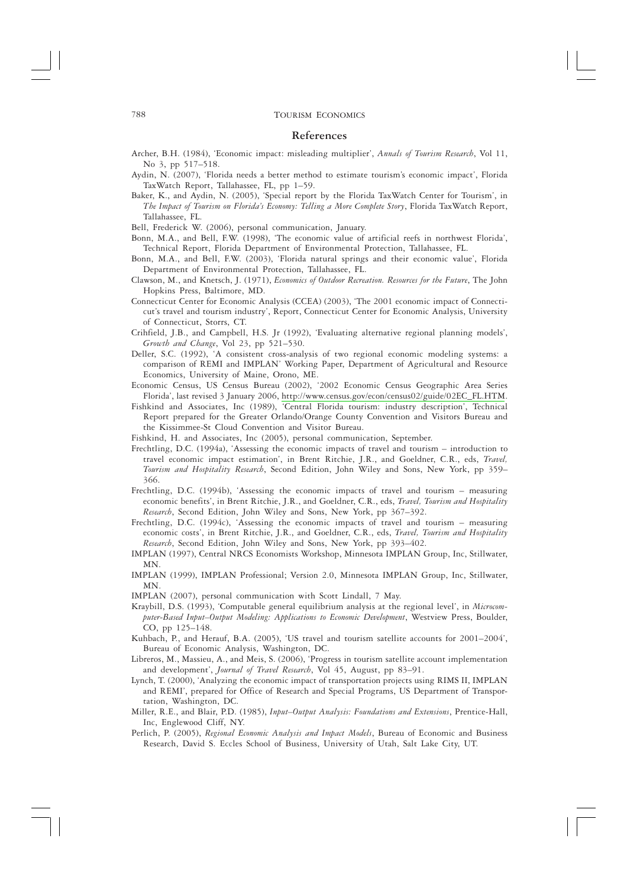#### References

- Archer, B.H. (1984), 'Economic impact: misleading multiplier', Annals of Tourism Research, Vol 11, No 3, pp 517-518.
- Aydin, N. (2007), 'Florida needs a better method to estimate tourism's economic impact', Florida TaxWatch Report, Tallahassee, FL, pp 1-59.
- Baker, K., and Aydin, N. (2005), 'Special report by the Florida TaxWatch Center for Tourism', in The Impact of Tourism on Florida's Economy: Telling a More Complete Story, Florida TaxWatch Report, Tallahassee, FL.
- Bell, Frederick W. (2006), personal communication, January.
- Bonn, M.A., and Bell, F.W. (1998), 'The economic value of artificial reefs in northwest Florida', Technical Report, Florida Department of Environmental Protection, Tallahassee, FL.
- Bonn, M.A., and Bell, F.W. (2003), 'Florida natural springs and their economic value', Florida Department of Environmental Protection, Tallahassee, FL.
- Clawson, M., and Knetsch, J. (1971), Economics of Outdoor Recreation. Resources for the Future, The John Hopkins Press, Baltimore, MD.
- Connecticut Center for Economic Analysis (CCEA) (2003), 'The 2001 economic impact of Connecticut's travel and tourism industry', Report, Connecticut Center for Economic Analysis, University of Connecticut, Storrs, CT.
- Crihfield, J.B., and Campbell, H.S. Jr (1992), 'Evaluating alternative regional planning models', Growth and Change, Vol 23, pp 521-530.
- Deller, S.C. (1992), 'A consistent cross-analysis of two regional economic modeling systems: a comparison of REMI and IMPLAN' Working Paper, Department of Agricultural and Resource Economics, University of Maine, Orono, ME.
- Economic Census, US Census Bureau (2002), '2002 Economic Census Geographic Area Series Florida', last revised 3 January 2006, http://www.census.gov/econ/census02/guide/02EC\_FL.HTM.
- Fishkind and Associates, Inc (1989), 'Central Florida tourism: industry description', Technical Report prepared for the Greater Orlando/Orange County Convention and Visitors Bureau and the Kissimmee-St Cloud Convention and Visitor Bureau.
- Fishkind, H. and Associates, Inc (2005), personal communication, September.
- Frechtling, D.C. (1994a), 'Assessing the economic impacts of travel and tourism introduction to travel economic impact estimation', in Brent Ritchie, J.R., and Goeldner, C.R., eds, Travel, Tourism and Hospitality Research, Second Edition, John Wiley and Sons, New York, pp 359-366.
- Frechtling, D.C. (1994b), 'Assessing the economic impacts of travel and tourism measuring economic benefits', in Brent Ritchie, J.R., and Goeldner, C.R., eds, Travel, Tourism and Hospitality Research, Second Edition, John Wiley and Sons, New York, pp 367-392.
- Frechtling, D.C. (1994c), 'Assessing the economic impacts of travel and tourism measuring economic costs', in Brent Ritchie, J.R., and Goeldner, C.R., eds, Travel, Tourism and Hospitality Research, Second Edition, John Wiley and Sons, New York, pp 393-402.
- IMPLAN (1997), Central NRCS Economists Workshop, Minnesota IMPLAN Group, Inc, Stillwater, MN.
- IMPLAN (1999), IMPLAN Professional; Version 2.0, Minnesota IMPLAN Group, Inc, Stillwater, MN.
- IMPLAN (2007), personal communication with Scott Lindall, 7 May.
- Kraybill, D.S. (1993), 'Computable general equilibrium analysis at the regional level', in Microcomputer-Based Input-Output Modeling: Applications to Economic Development, Westview Press, Boulder, CO, pp 125-148.
- Kuhbach, P., and Herauf, B.A. (2005), 'US travel and tourism satellite accounts for 2001-2004', Bureau of Economic Analysis, Washington, DC.
- Libreros, M., Massieu, A., and Meis, S. (2006), 'Progress in tourism satellite account implementation and development', Journal of Travel Research, Vol 45, August, pp 83-91.
- Lynch, T. (2000), 'Analyzing the economic impact of transportation projects using RIMS II, IMPLAN and REMI', prepared for Office of Research and Special Programs, US Department of Transportation, Washington, DC.
- Miller, R.E., and Blair, P.D. (1985), Input-Output Analysis: Foundations and Extensions, Prentice-Hall, Inc, Englewood Cliff, NY.
- Perlich, P. (2005), Regional Economic Analysis and Impact Models, Bureau of Economic and Business Research, David S. Eccles School of Business, University of Utah, Salt Lake City, UT.